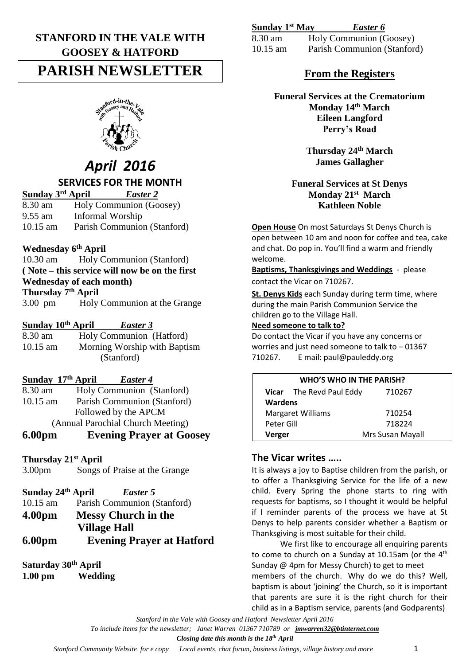## **STANFORD IN THE VALE WITH GOOSEY & HATFORD**

## **PARISH NEWSLETTER**



# *April 2016*

## **SERVICES FOR THE MONTH**

**Sunday 3** *Easter 2* 8.30 am Holy Communion (Goosey) 9.55 am Informal Worship 10.15 am Parish Communion (Stanford)

## **Wednesday 6th April**

10.30 am Holy Communion (Stanford) **( Note – this service will now be on the first Wednesday of each month) Thursday 7th April** 3.00 pm Holy Communion at the Grange

## **Sunday 10th April** *Easter 3*

8.30 am Holy Communion (Hatford) 10.15 am Morning Worship with Baptism (Stanford)

### **Sunday 17th April** *Easter 4*

8.30 am Holy Communion (Stanford) 10.15 am Parish Communion (Stanford) Followed by the APCM (Annual Parochial Church Meeting)

**6.00pm Evening Prayer at Goosey**

### **Thursday 21st April**

3.00pm Songs of Praise at the Grange

- 10.15 am Parish Communion (Stanford)
- **4.00pm Messy Church in the Village Hall**
- **6.00pm Evening Prayer at Hatford**

## **Saturday 30th April**

**1.00 pm Wedding**

| Sunday 1st May | Easter 6 |  |
|----------------|----------|--|
|                |          |  |

8.30 am Holy Communion (Goosey) 10.15 am Parish Communion (Stanford)

## **From the Registers**

**Funeral Services at the Crematorium Monday 14th March Eileen Langford Perry's Road**

> **Thursday 24th March James Gallagher**

#### **Funeral Services at St Denys Monday 21st March Kathleen Noble**

**Open House** On most Saturdays St Denys Church is open between 10 am and noon for coffee and tea, cake and chat. Do pop in. You'll find a warm and friendly welcome.

**Baptisms, Thanksgivings and Weddings** - please contact the Vicar on 710267.

**St. Denys Kids** each Sunday during term time, where during the main Parish Communion Service the children go to the Village Hall.

## **Need someone to talk to?**

Do contact the Vicar if you have any concerns or worries and just need someone to talk to – 01367 710267. E mail: paul@pauleddy.org

| <b>WHO'S WHO IN THE PARISH?</b> |                                 |                  |  |
|---------------------------------|---------------------------------|------------------|--|
|                                 | <b>Vicar</b> The Revd Paul Eddy | 710267           |  |
| <b>Wardens</b>                  |                                 |                  |  |
| <b>Margaret Williams</b>        |                                 | 710254           |  |
| Peter Gill                      |                                 | 718224           |  |
| Verger                          |                                 | Mrs Susan Mayall |  |

## **The Vicar writes …..**

It is always a joy to Baptise children from the parish, or to offer a Thanksgiving Service for the life of a new child. Every Spring the phone starts to ring with requests for baptisms, so I thought it would be helpful if I reminder parents of the process we have at St Denys to help parents consider whether a Baptism or Thanksgiving is most suitable for their child.

We first like to encourage all enquiring parents to come to church on a Sunday at 10.15am (or the  $4<sup>th</sup>$ Sunday @ 4pm for Messy Church) to get to meet members of the church. Why do we do this? Well, baptism is about 'joining' the Church, so it is important that parents are sure it is the right church for their child as in a Baptism service, parents (and Godparents)

*Stanford in the Vale with Goosey and Hatford Newsletter April 2016*

*To include items for the newsletter; Janet Warren 01367 710789 or [jmwarren32@btinternet.com](mailto:jmwarren32@btinternet.com)*

### *Closing date this month is the 18th April*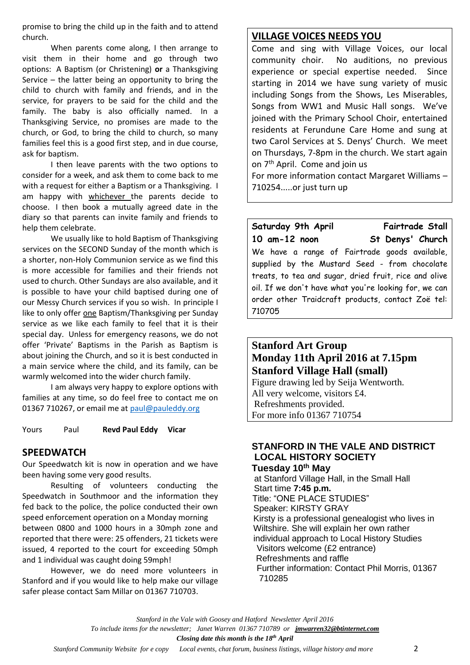promise to bring the child up in the faith and to attend church.

When parents come along, I then arrange to visit them in their home and go through two options: A Baptism (or Christening) **or** a Thanksgiving Service – the latter being an opportunity to bring the child to church with family and friends, and in the service, for prayers to be said for the child and the family. The baby is also officially named. In a Thanksgiving Service, no promises are made to the church, or God, to bring the child to church, so many families feel this is a good first step, and in due course, ask for baptism.

I then leave parents with the two options to consider for a week, and ask them to come back to me with a request for either a Baptism or a Thanksgiving. I am happy with whichever the parents decide to choose. I then book a mutually agreed date in the diary so that parents can invite family and friends to help them celebrate.

We usually like to hold Baptism of Thanksgiving services on the SECOND Sunday of the month which is a shorter, non-Holy Communion service as we find this is more accessible for families and their friends not used to church. Other Sundays are also available, and it is possible to have your child baptised during one of our Messy Church services if you so wish. In principle I like to only offer one Baptism/Thanksgiving per Sunday service as we like each family to feel that it is their special day. Unless for emergency reasons, we do not offer 'Private' Baptisms in the Parish as Baptism is about joining the Church, and so it is best conducted in a main service where the child, and its family, can be warmly welcomed into the wider church family.

I am always very happy to explore options with families at any time, so do feel free to contact me on 01367 710267, or email me at [paul@pauleddy.org](mailto:paul@pauleddy.org)

Yours Paul **Revd Paul Eddy Vicar**

## **SPEEDWATCH**

Our Speedwatch kit is now in operation and we have been having some very good results.

Resulting of volunteers conducting the Speedwatch in Southmoor and the information they fed back to the police, the police conducted their own speed enforcement operation on a Monday morning between 0800 and 1000 hours in a 30mph zone and reported that there were: 25 offenders, 21 tickets were issued, 4 reported to the court for exceeding 50mph and 1 individual was caught doing 59mph!

However, we do need more volunteers in Stanford and if you would like to help make our village safer please contact Sam Millar on 01367 710703.

### **VILLAGE VOICES NEEDS YOU**

Come and sing with Village Voices, our local community choir. No auditions, no previous experience or special expertise needed. Since starting in 2014 we have sung variety of music including Songs from the Shows, Les Miserables, Songs from WW1 and Music Hall songs. We've joined with the Primary School Choir, entertained residents at Ferundune Care Home and sung at two Carol Services at S. Denys' Church. We meet on Thursdays, 7-8pm in the church. We start again on 7th April. Come and join us

For more information contact Margaret Williams – 710254.....or just turn up

Saturday 9th April **Fairtrade Stall 10 am-12 noon St Denys' Church** We have a range of Fairtrade goods available, supplied by the Mustard Seed - from chocolate treats, to tea and sugar, dried fruit, rice and olive oil. If we don't have what you're looking for, we can order other Traidcraft products, contact Zoë tel: 710705

## **Stanford Art Group Monday 11th April 2016 at 7.15pm Stanford Village Hall (small)**

Figure drawing led by Seija Wentworth. All very welcome, visitors £4. Refreshments provided. For more info 01367 710754

## **STANFORD IN THE VALE AND DISTRICT LOCAL HISTORY SOCIETY Tuesday 10 th May**

at Stanford Village Hall, in the Small Hall Start time **7:45 p.m.** Title: "ONE PLACE STUDIES" Speaker: KIRSTY GRAY Kirsty is a professional genealogist who lives in Wiltshire. She will explain her own rather individual approach to Local History Studies Visitors welcome (£2 entrance) Refreshments and raffle Further information: Contact Phil Morris, 01367 710285

*Stanford in the Vale with Goosey and Hatford Newsletter April 2016*

*To include items for the newsletter; Janet Warren 01367 710789 or [jmwarren32@btinternet.com](mailto:jmwarren32@btinternet.com)*

*Closing date this month is the 18th April*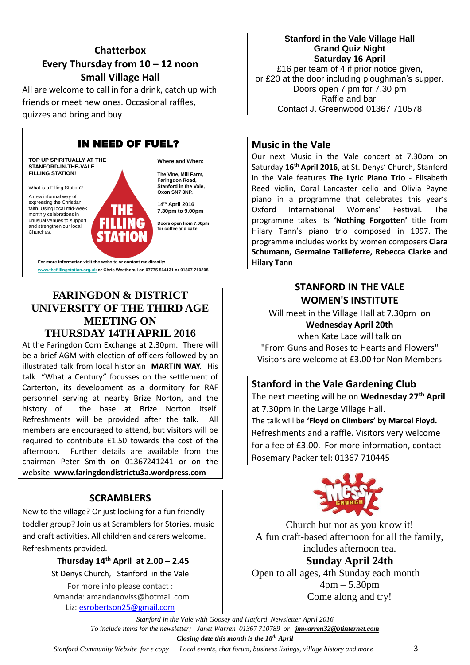## **Chatterbox Every Thursday from 10 – 12 noon Small Village Hall**

All are welcome to call in for a drink, catch up with friends or meet new ones. Occasional raffles, quizzes and bring and buy



## **FARINGDON & DISTRICT UNIVERSITY OF THE THIRD AGE MEETING ON THURSDAY 14TH APRIL 2016**

At the Faringdon Corn Exchange at 2.30pm. There will be a brief AGM with election of officers followed by an illustrated talk from local historian **MARTIN WAY.** His talk "What a Century" focusses on the settlement of Carterton, its development as a dormitory for RAF personnel serving at nearby Brize Norton, and the history of the base at Brize Norton itself. Refreshments will be provided after the talk. All members are encouraged to attend, but visitors will be required to contribute £1.50 towards the cost of the afternoon. Further details are available from the chairman Peter Smith on 01367241241 or on the website -**www.faringdondistrictu3a.wordpress.com**

## **SCRAMBLERS**

New to the village? Or just looking for a fun friendly toddler group? Join us at Scramblers for Stories, music and craft activities. All children and carers welcome. Refreshments provided.

> **Thursday 14 th April at 2.00 – 2.45** St Denys Church, Stanford in the Vale For more info please contact :

> Amanda: amandanoviss@hotmail.com Liz: [esrobertson25@gmail.com](mailto:esrobertson25@gmail.com)

#### **Stanford in the Vale Village Hall Grand Quiz Night Saturday 16 April**

£16 per team of 4 if prior notice given, or £20 at the door including ploughman's supper. Doors open 7 pm for 7.30 pm Raffle and bar. Contact J. Greenwood 01367 710578

## **Music in the Vale**

Our next Music in the Vale concert at 7.30pm on Saturday **16th April 2016**, at St. Denys' Church, Stanford in the Vale features **The Lyric Piano Trio** - Elisabeth Reed violin, Coral Lancaster cello and Olivia Payne piano in a programme that celebrates this year's Oxford International Womens' Festival. The programme takes its **'Nothing Forgotten'** title from Hilary Tann's piano trio composed in 1997. The programme includes works by women composers **Clara Schumann, Germaine Tailleferre, Rebecca Clarke and Hilary Tann**

## **STANFORD IN THE VALE WOMEN'S INSTITUTE**

Will meet in the Village Hall at 7.30pm on **Wednesday April 20th**

when Kate Lace will talk on "From Guns and Roses to Hearts and Flowers" Visitors are welcome at £3.00 for Non Members

## **Stanford in the Vale Gardening Club**

The next meeting will be on **Wednesday 27 th April** at 7.30pm in the Large Village Hall. The talk will be **'Floyd on Climbers' by Marcel Floyd.** Refreshments and a raffle. Visitors very welcome for a fee of £3.00. For more information, contact Rosemary Packer tel: 01367 710445



Church but not as you know it! A fun craft-based afternoon for all the family, includes afternoon tea. **Sunday April 24th** Open to all ages, 4th Sunday each month 4pm – 5.30pm

Come along and try!

*Stanford in the Vale with Goosey and Hatford Newsletter April 2016 To include items for the newsletter; Janet Warren 01367 710789 or [jmwarren32@btinternet.com](mailto:jmwarren32@btinternet.com) Closing date this month is the 18th April*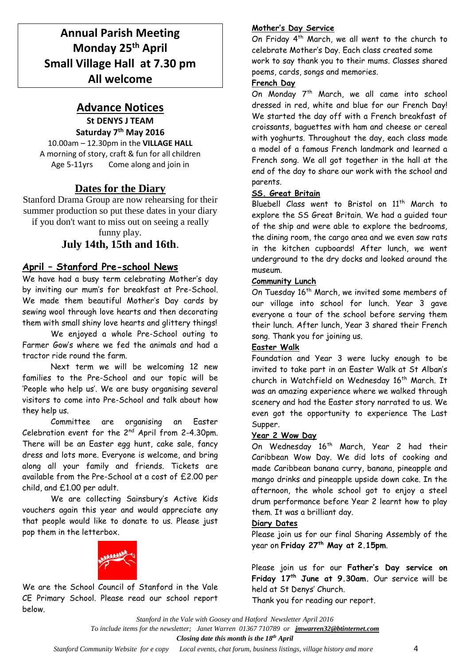## **Annual Parish Meeting Monday 25th April Small Village Hall at 7.30 pm All welcome**

## **Advance Notices**

**St DENYS J TEAM Saturday 7th May 2016**

10.00am – 12.30pm in the **VILLAGE HALL** A morning of story, craft & fun for all children Age 5-11yrs Come along and join in

## **Dates for the Diary**

Stanford Drama Group are now rehearsing for their summer production so put these dates in your diary if you don't want to miss out on seeing a really

funny play.

## **July 14th, 15th and 16th**.

## **April – Stanford Pre-school News**

We have had a busy term celebrating Mother's day by inviting our mum's for breakfast at Pre-School. We made them beautiful Mother's Day cards by sewing wool through love hearts and then decorating them with small shiny love hearts and glittery things!

We enjoyed a whole Pre-School outing to Farmer Gow's where we fed the animals and had a tractor ride round the farm.

Next term we will be welcoming 12 new families to the Pre-School and our topic will be 'People who help us'. We are busy organising several visitors to come into Pre-School and talk about how they help us.

Committee are organising an Easter Celebration event for the 2nd April from 2-4.30pm. There will be an Easter egg hunt, cake sale, fancy dress and lots more. Everyone is welcome, and bring along all your family and friends. Tickets are available from the Pre-School at a cost of £2.00 per child, and £1.00 per adult.

We are collecting Sainsbury's Active Kids vouchers again this year and would appreciate any that people would like to donate to us. Please just pop them in the letterbox.



We are the School Council of Stanford in the Vale CE Primary School. Please read our school report below.

#### **Mother's Day Service**

On Friday 4th March, we all went to the church to celebrate Mother's Day. Each class created some work to say thank you to their mums. Classes shared poems, cards, songs and memories.

### **French Day**

On Monday 7<sup>th</sup> March, we all came into school dressed in red, white and blue for our French Day! We started the day off with a French breakfast of croissants, baguettes with ham and cheese or cereal with yoghurts. Throughout the day, each class made a model of a famous French landmark and learned a French song. We all got together in the hall at the end of the day to share our work with the school and parents.

#### **SS. Great Britain**

Bluebell Class went to Bristol on 11<sup>th</sup> March to explore the SS Great Britain. We had a guided tour of the ship and were able to explore the bedrooms, the dining room, the cargo area and we even saw rats in the kitchen cupboards! After lunch, we went underground to the dry docks and looked around the museum.

#### **Community Lunch**

On Tuesday 16<sup>th</sup> March, we invited some members of our village into school for lunch. Year 3 gave everyone a tour of the school before serving them their lunch. After lunch, Year 3 shared their French song. Thank you for joining us.

### **Easter Walk**

Foundation and Year 3 were lucky enough to be invited to take part in an Easter Walk at St Alban's church in Watchfield on Wednesday 16<sup>th</sup> March. It was an amazing experience where we walked through scenery and had the Easter story narrated to us. We even got the opportunity to experience The Last Supper.

#### **Year 2 Wow Day**

On Wednesday 16<sup>th</sup> March, Year 2 had their Caribbean Wow Day. We did lots of cooking and made Caribbean banana curry, banana, pineapple and mango drinks and pineapple upside down cake. In the afternoon, the whole school got to enjoy a steel drum performance before Year 2 learnt how to play them. It was a brilliant day.

### **Diary Dates**

Please join us for our final Sharing Assembly of the year on **Friday 27th May at 2.15pm**.

Please join us for our **Father's Day service on Friday 17th June at 9.30am.** Our service will be held at St Denys' Church.

Thank you for reading our report.

*To include items for the newsletter; Janet Warren 01367 710789 or [jmwarren32@btinternet.com](mailto:jmwarren32@btinternet.com)*

*Closing date this month is the 18th April*

*Stanford in the Vale with Goosey and Hatford Newsletter April 2016*